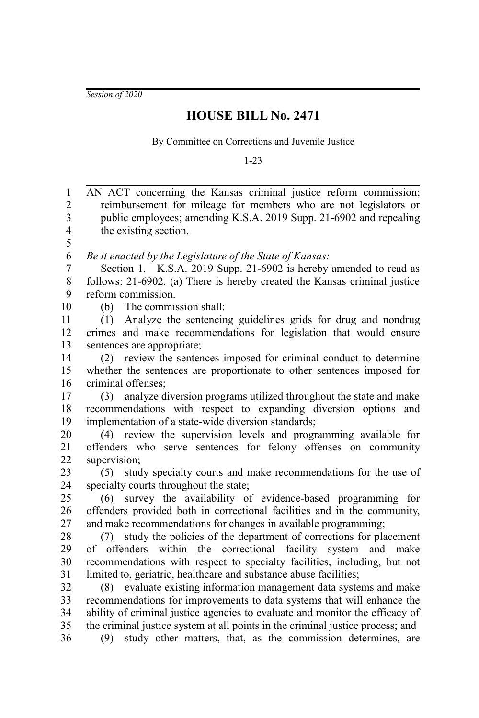*Session of 2020*

## **HOUSE BILL No. 2471**

By Committee on Corrections and Juvenile Justice

1-23

AN ACT concerning the Kansas criminal justice reform commission; reimbursement for mileage for members who are not legislators or public employees; amending K.S.A. 2019 Supp. 21-6902 and repealing the existing section. *Be it enacted by the Legislature of the State of Kansas:* Section 1. K.S.A. 2019 Supp. 21-6902 is hereby amended to read as follows: 21-6902. (a) There is hereby created the Kansas criminal justice reform commission. (b) The commission shall: (1) Analyze the sentencing guidelines grids for drug and nondrug crimes and make recommendations for legislation that would ensure sentences are appropriate; (2) review the sentences imposed for criminal conduct to determine whether the sentences are proportionate to other sentences imposed for criminal offenses; (3) analyze diversion programs utilized throughout the state and make recommendations with respect to expanding diversion options and implementation of a state-wide diversion standards; (4) review the supervision levels and programming available for offenders who serve sentences for felony offenses on community supervision; (5) study specialty courts and make recommendations for the use of specialty courts throughout the state; (6) survey the availability of evidence-based programming for offenders provided both in correctional facilities and in the community, and make recommendations for changes in available programming; (7) study the policies of the department of corrections for placement of offenders within the correctional facility system and make recommendations with respect to specialty facilities, including, but not limited to, geriatric, healthcare and substance abuse facilities; (8) evaluate existing information management data systems and make recommendations for improvements to data systems that will enhance the ability of criminal justice agencies to evaluate and monitor the efficacy of the criminal justice system at all points in the criminal justice process; and (9) study other matters, that, as the commission determines, are 1 2 3 4 5 6 7 8 9 10 11 12 13 14 15 16 17 18 19 20 21 22 23 24 25 26 27 28 29 30 31 32 33 34 35 36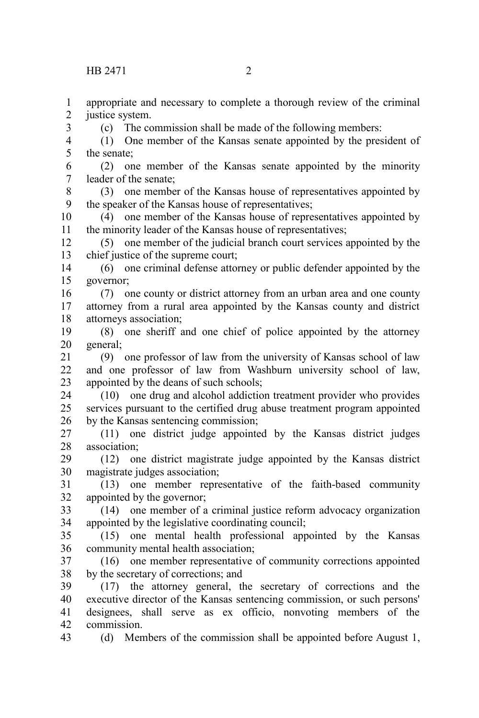justice system.

appropriate and necessary to complete a thorough review of the criminal

(1) One member of the Kansas senate appointed by the president of

(c) The commission shall be made of the following members:

the senate; (2) one member of the Kansas senate appointed by the minority leader of the senate; (3) one member of the Kansas house of representatives appointed by the speaker of the Kansas house of representatives; (4) one member of the Kansas house of representatives appointed by the minority leader of the Kansas house of representatives; (5) one member of the judicial branch court services appointed by the chief justice of the supreme court; (6) one criminal defense attorney or public defender appointed by the governor; (7) one county or district attorney from an urban area and one county attorney from a rural area appointed by the Kansas county and district attorneys association; (8) one sheriff and one chief of police appointed by the attorney general; (9) one professor of law from the university of Kansas school of law and one professor of law from Washburn university school of law, appointed by the deans of such schools; (10) one drug and alcohol addiction treatment provider who provides services pursuant to the certified drug abuse treatment program appointed by the Kansas sentencing commission; (11) one district judge appointed by the Kansas district judges association; (12) one district magistrate judge appointed by the Kansas district magistrate judges association; (13) one member representative of the faith-based community appointed by the governor; (14) one member of a criminal justice reform advocacy organization appointed by the legislative coordinating council; (15) one mental health professional appointed by the Kansas community mental health association; (16) one member representative of community corrections appointed by the secretary of corrections; and (17) the attorney general, the secretary of corrections and the executive director of the Kansas sentencing commission, or such persons' designees, shall serve as ex officio, nonvoting members of the commission. (d) Members of the commission shall be appointed before August 1, 5 6 7 8 9 10 11 12 13 14 15 16 17 18 19 20 21 22 23 24 25 26 27 28 29 30 31 32 33 34 35 36 37 38 39 40 41 42 43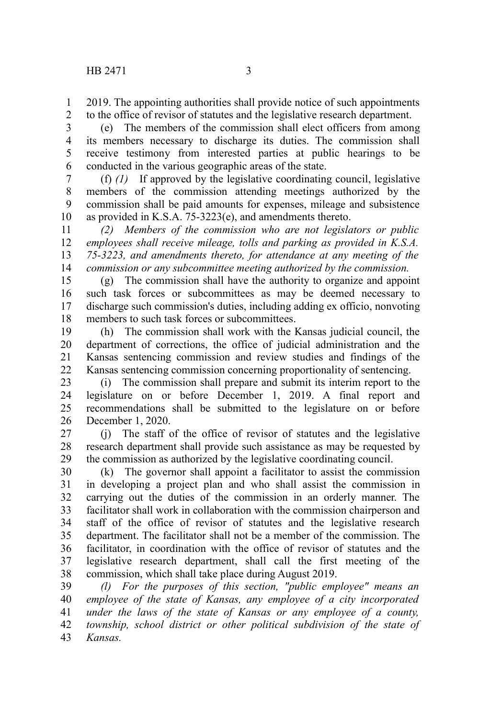2019. The appointing authorities shall provide notice of such appointments 1

to the office of revisor of statutes and the legislative research department. 2

(e) The members of the commission shall elect officers from among its members necessary to discharge its duties. The commission shall receive testimony from interested parties at public hearings to be conducted in the various geographic areas of the state. 3 4 5 6

(f) *(1)* If approved by the legislative coordinating council, legislative members of the commission attending meetings authorized by the commission shall be paid amounts for expenses, mileage and subsistence as provided in K.S.A. 75-3223(e), and amendments thereto. 7 8 9 10

*(2) Members of the commission who are not legislators or public employees shall receive mileage, tolls and parking as provided in K.S.A. 75-3223, and amendments thereto, for attendance at any meeting of the commission or any subcommittee meeting authorized by the commission.* 11 12 13 14

(g) The commission shall have the authority to organize and appoint such task forces or subcommittees as may be deemed necessary to discharge such commission's duties, including adding ex officio, nonvoting members to such task forces or subcommittees. 15 16 17 18

(h) The commission shall work with the Kansas judicial council, the department of corrections, the office of judicial administration and the Kansas sentencing commission and review studies and findings of the Kansas sentencing commission concerning proportionality of sentencing. 19 20 21 22

(i) The commission shall prepare and submit its interim report to the legislature on or before December 1, 2019. A final report and recommendations shall be submitted to the legislature on or before December 1, 2020. 23 24 25 26

(j) The staff of the office of revisor of statutes and the legislative research department shall provide such assistance as may be requested by the commission as authorized by the legislative coordinating council. 27 28 29

(k) The governor shall appoint a facilitator to assist the commission in developing a project plan and who shall assist the commission in carrying out the duties of the commission in an orderly manner. The facilitator shall work in collaboration with the commission chairperson and staff of the office of revisor of statutes and the legislative research department. The facilitator shall not be a member of the commission. The facilitator, in coordination with the office of revisor of statutes and the legislative research department, shall call the first meeting of the commission, which shall take place during August 2019. 30 31 32 33 34 35 36 37 38

*(l) For the purposes of this section, "public employee" means an employee of the state of Kansas, any employee of a city incorporated under the laws of the state of Kansas or any employee of a county, township, school district or other political subdivision of the state of Kansas.* 39 40 41 42 43